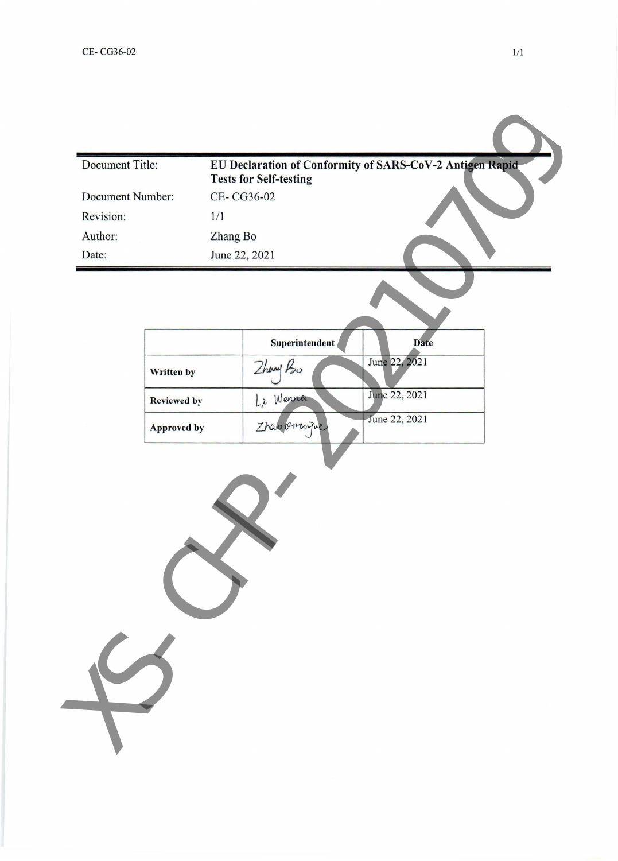| Document Title:  |                    |          |                               | EU Declaration of Conformity of SARS-CoV-2 Antigen Rapid- |  |
|------------------|--------------------|----------|-------------------------------|-----------------------------------------------------------|--|
|                  |                    |          | <b>Tests for Self-testing</b> |                                                           |  |
| Document Number: |                    |          | CE-CG36-02                    |                                                           |  |
| Revision:        |                    | 1/1      |                               |                                                           |  |
| Author:          |                    | Zhang Bo |                               |                                                           |  |
| Date:            |                    |          | June 22, 2021                 |                                                           |  |
|                  |                    |          |                               |                                                           |  |
|                  |                    |          | Superintendent                | Date                                                      |  |
|                  | Written by         |          | Zhand Ho                      | June 22, 2021                                             |  |
|                  | <b>Reviewed by</b> |          | Li Wenna                      | June 22, 2021                                             |  |
|                  | <b>Approved by</b> |          | Zhav overign                  | June 22, 2021                                             |  |
|                  |                    |          |                               |                                                           |  |
|                  |                    |          |                               |                                                           |  |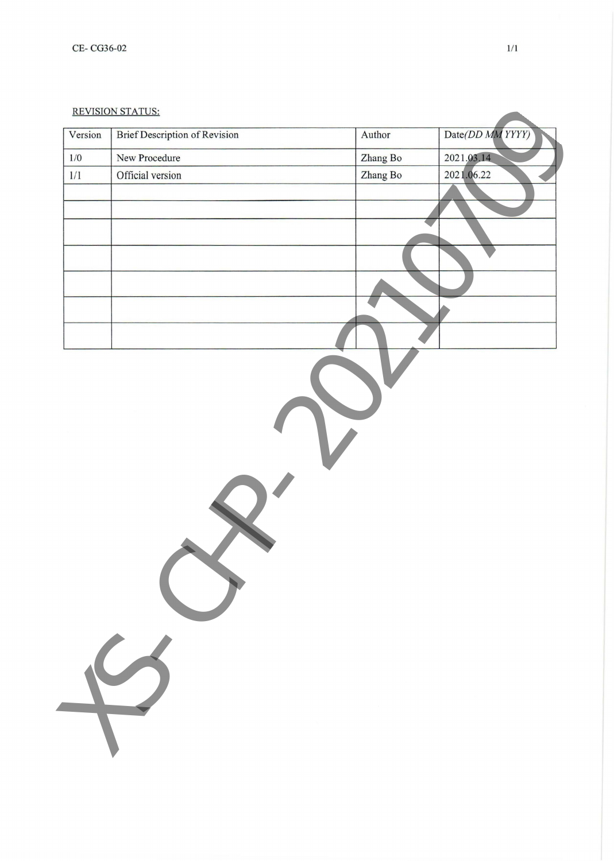## REVISION STATUS:

| Version | <b>Brief Description of Revision</b> | Author   | Date(DD MM YYYY) |
|---------|--------------------------------------|----------|------------------|
| 1/0     | New Procedure                        | Zhang Bo | 2021.03.14       |
| $1/1\,$ | Official version                     | Zhang Bo | 2021.06.22       |
|         |                                      |          |                  |
|         |                                      |          |                  |
|         |                                      |          |                  |
|         |                                      |          |                  |
|         |                                      |          |                  |
|         |                                      |          |                  |
|         |                                      |          |                  |
|         |                                      |          |                  |
|         |                                      |          |                  |
|         |                                      |          |                  |
|         |                                      |          |                  |
|         |                                      |          |                  |
|         |                                      |          |                  |
|         |                                      |          |                  |
|         |                                      |          |                  |
|         |                                      |          |                  |
|         |                                      |          |                  |
|         |                                      |          |                  |
|         |                                      |          |                  |
|         |                                      |          |                  |
|         |                                      |          |                  |
|         |                                      |          |                  |
|         |                                      |          |                  |
|         |                                      |          |                  |
|         |                                      |          |                  |
|         |                                      |          |                  |
|         |                                      |          |                  |
|         |                                      |          |                  |
|         |                                      |          |                  |
|         |                                      |          |                  |
|         |                                      |          |                  |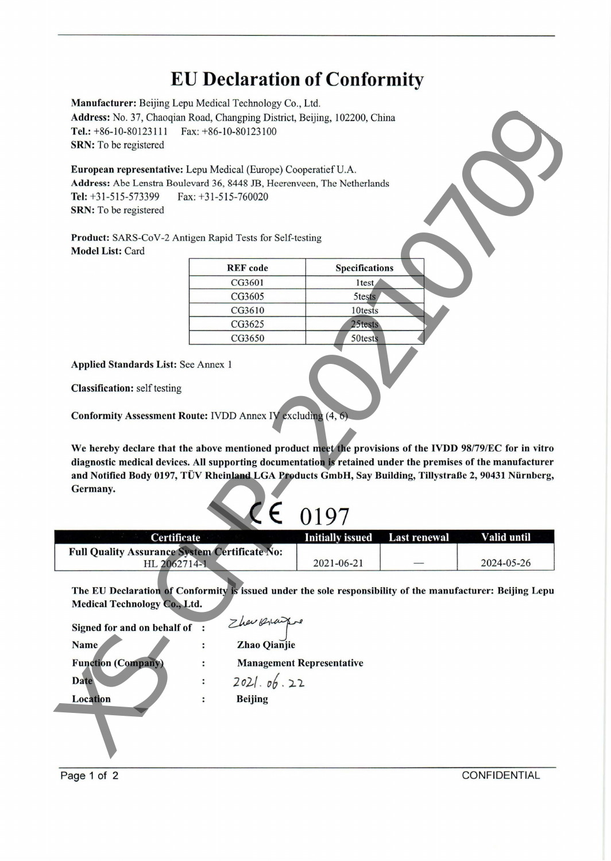## **EU Declaration of Conformity**

| <b>REF</b> code | <b>Specifications</b> |
|-----------------|-----------------------|
| CG3601          | 1 <sub>test</sub>     |
| CG3605          | 5tests                |
| CG3610          | 10tests               |
| CG3625          | 25tests               |
| CG3650          | 50tests               |

| Initially icens |
|-----------------|

| Certificate                                          | Initially issued Last renewal | Valid until |
|------------------------------------------------------|-------------------------------|-------------|
| <b>Full Quality Assurance System Certificate No:</b> |                               |             |
| HL 2062714-1                                         | 2021-06-21                    | 2024-05-26  |

| Manufacturer: Beijing Lepu Medical Technology Co., Ltd.                                                     |                       |                                  |                     |             |
|-------------------------------------------------------------------------------------------------------------|-----------------------|----------------------------------|---------------------|-------------|
| Address: No. 37, Chaoqian Road, Changping District, Beijing, 102200, China                                  |                       |                                  |                     |             |
| Tel.: $+86-10-80123111$                                                                                     | Fax: +86-10-80123100  |                                  |                     |             |
| <b>SRN:</b> To be registered                                                                                |                       |                                  |                     |             |
| European representative: Lepu Medical (Europe) Cooperatief U.A.                                             |                       |                                  |                     |             |
| Address: Abe Lenstra Boulevard 36, 8448 JB, Heerenveen, The Netherlands                                     |                       |                                  |                     |             |
| Tel: $+31-515-573399$                                                                                       | Fax: $+31-515-760020$ |                                  |                     |             |
| SRN: To be registered                                                                                       |                       |                                  |                     |             |
|                                                                                                             |                       |                                  |                     |             |
| Product: SARS-CoV-2 Antigen Rapid Tests for Self-testing                                                    |                       |                                  |                     |             |
| <b>Model List: Card</b>                                                                                     |                       |                                  |                     |             |
|                                                                                                             | <b>REF</b> code       | <b>Specifications</b>            |                     |             |
|                                                                                                             | CG3601                | 1 <sub>test</sub>                |                     |             |
|                                                                                                             | CG3605                | 5tests                           |                     |             |
|                                                                                                             | CG3610                | 10tests                          |                     |             |
|                                                                                                             | CG3625                | 25tests                          |                     |             |
|                                                                                                             | CG3650                | 50tests                          |                     |             |
|                                                                                                             |                       |                                  |                     |             |
| <b>Applied Standards List: See Annex 1</b>                                                                  |                       |                                  |                     |             |
|                                                                                                             |                       |                                  |                     |             |
| <b>Classification:</b> self testing                                                                         |                       |                                  |                     |             |
|                                                                                                             |                       |                                  |                     |             |
| Conformity Assessment Route: IVDD Annex IV excluding (4, 6)                                                 |                       |                                  |                     |             |
|                                                                                                             |                       |                                  |                     |             |
| We hereby declare that the above mentioned product meet the provisions of the IVDD 98/79/EC for in vitro    |                       |                                  |                     |             |
| diagnostic medical devices. All supporting documentation is retained under the premises of the manufacturer |                       |                                  |                     |             |
| and Notified Body 0197, TÜV Rheinland LGA Products GmbH, Say Building, Tillystraße 2, 90431 Nürnberg,       |                       |                                  |                     |             |
| Germany.                                                                                                    |                       |                                  |                     |             |
|                                                                                                             |                       |                                  |                     |             |
|                                                                                                             |                       | 0197                             |                     |             |
| Certificate                                                                                                 |                       | <b>Initially issued</b>          | <b>Last renewal</b> | Valid until |
| <b>Full Quality Assurance System Certificate No:</b>                                                        |                       |                                  |                     |             |
| HL 2062714-1                                                                                                |                       | 2021-06-21                       |                     | 2024-05-26  |
|                                                                                                             |                       |                                  |                     |             |
| The EU Declaration of Conformity is issued under the sole responsibility of the manufacturer: Beijing Lepu  |                       |                                  |                     |             |
| Medical Technology Co., Ltd.                                                                                |                       |                                  |                     |             |
| Signed for and on behalf of :                                                                               | Zher Orange           |                                  |                     |             |
| <b>Name</b>                                                                                                 | <b>Zhao Qianjie</b>   |                                  |                     |             |
| <b>Function (Company)</b>                                                                                   |                       | <b>Management Representative</b> |                     |             |
| Date                                                                                                        | 2021.06.22            |                                  |                     |             |
| Location                                                                                                    | <b>Beijing</b>        |                                  |                     |             |
|                                                                                                             |                       |                                  |                     |             |
|                                                                                                             |                       |                                  |                     |             |
|                                                                                                             |                       |                                  |                     |             |
|                                                                                                             |                       |                                  |                     |             |

Page 1 of 2